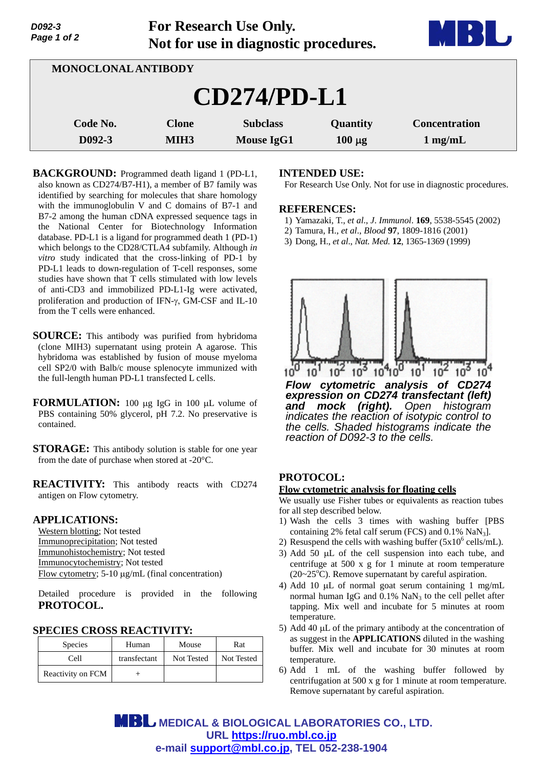| Page 1 of 2<br>Not for use in diagnostic procedures. |                                  |                                      | <b>DDI UT</b>           |                                   |
|------------------------------------------------------|----------------------------------|--------------------------------------|-------------------------|-----------------------------------|
| <b>MONOCLONAL ANTIBODY</b>                           |                                  |                                      |                         |                                   |
|                                                      |                                  | $CD274/PD-L1$                        |                         |                                   |
| Code No.<br>D092-3                                   | <b>Clone</b><br>MIH <sub>3</sub> | <b>Subclass</b><br><b>Mouse IgG1</b> | Quantity<br>$100 \mu g$ | <b>Concentration</b><br>$1$ mg/mL |

**For Research Use Only.**

**BACKGROUND:** Programmed death ligand 1 (PD-L1, also known as CD274/B7-H1), a member of B7 family was identified by searching for molecules that share homology with the immunoglobulin V and C domains of B7-1 and B7-2 among the human cDNA expressed sequence tags in the National Center for Biotechnology Information database. PD-L1 is a ligand for programmed death 1 (PD-1) which belongs to the CD28/CTLA4 subfamily. Although *in vitro* study indicated that the cross-linking of PD-1 by PD-L1 leads to down-regulation of T-cell responses, some studies have shown that T cells stimulated with low levels of anti-CD3 and immobilized PD-L1-Ig were activated, proliferation and production of IFN- $\gamma$ , GM-CSF and IL-10 from the T cells were enhanced.

- **SOURCE:** This antibody was purified from hybridoma (clone MIH3) supernatant using protein A agarose. This hybridoma was established by fusion of mouse myeloma cell SP2/0 with Balb/c mouse splenocyte immunized with the full-length human PD-L1 transfected L cells.
- **FORMULATION:** 100 µg IgG in 100 µL volume of PBS containing 50% glycerol, pH 7.2. No preservative is contained.
- **STORAGE:** This antibody solution is stable for one year from the date of purchase when stored at -20°C.

**REACTIVITY:** This antibody reacts with CD274 antigen on Flow cytometry.

## **APPLICATIONS:**

*D092-3* 

Western blotting; Not tested Immunoprecipitation; Not tested Immunohistochemistry; Not tested Immunocytochemistry; Not tested Flow cytometry; 5-10 μg/mL (final concentration)

Detailed procedure is provided in the following **PROTOCOL.**

## **SPECIES CROSS REACTIVITY:**

| <b>Species</b>    | Human        | Mouse      | Rat        |
|-------------------|--------------|------------|------------|
| Cell              | transfectant | Not Tested | Not Tested |
| Reactivity on FCM |              |            |            |

## **INTENDED USE:**

For Research Use Only. Not for use in diagnostic procedures.

#### **REFERENCES:**

- 1) Yamazaki, T., *et al*., *J*. *Immunol*. **169**, 5538-5545 (2002)
- 2) Tamura, H., *et al*., *Blood* **97**, 1809-1816 (2001)
- 3) Dong, H., *et al*., *Nat. Med.* **12**, 1365-1369 (1999)



# **PROTOCOL:**

#### **Flow cytometric analysis for floating cells**

We usually use Fisher tubes or equivalents as reaction tubes for all step described below.

- 1) Wash the cells 3 times with washing buffer [PBS containing 2% fetal calf serum (FCS) and  $0.1\%$  NaN<sub>3</sub>].
- 2) Resuspend the cells with washing buffer  $(5x10^6 \text{ cells/mL})$ .
- 3) Add 50  $\mu$ L of the cell suspension into each tube, and centrifuge at 500 x g for 1 minute at room temperature  $(20~25<sup>o</sup>C)$ . Remove supernatant by careful aspiration.
- 4) Add 10  $\mu$ L of normal goat serum containing 1 mg/mL normal human IgG and  $0.1\%$  NaN<sub>3</sub> to the cell pellet after tapping. Mix well and incubate for 5 minutes at room temperature.
- 5) Add 40  $\mu$ L of the primary antibody at the concentration of as suggest in the **APPLICATIONS** diluted in the washing buffer. Mix well and incubate for 30 minutes at room temperature.
- 6) Add 1 mL of the washing buffer followed by centrifugation at 500 x g for 1 minute at room temperature. Remove supernatant by careful aspiration.

**MBL** MEDICAL & BIOLOGICAL LABORATORIES CO., LTD. **URL https://ruo.mbl.co.jp e-mail support@mbl.co.jp, TEL 052-238-1904**